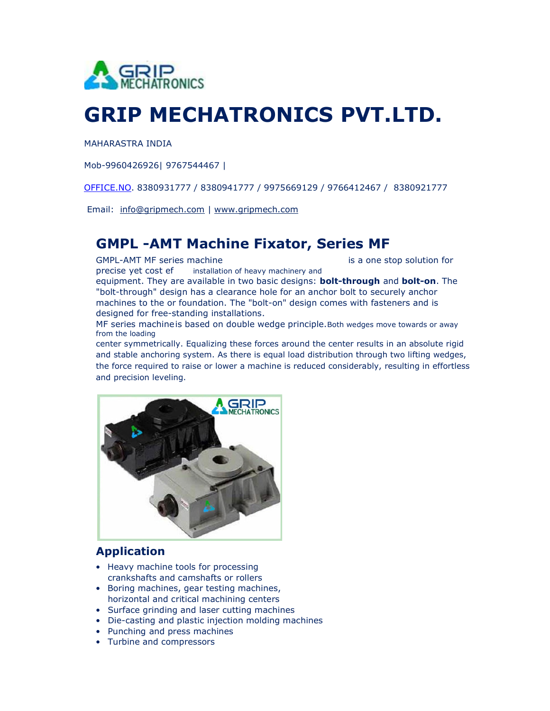

## GRIP MECHATRONICS PVT.LTD.

MAHARASTRA INDIA

Mob-9960426926| 9767544467 |

OFFICE.NO. 8380931777 / 8380941777 / 9975669129 / 9766412467 / 8380921777

Email: info@gripmech.com | www.gripmech.com

## GMPL -AMT Machine Fixator, Series MF

GMPL-AMT MF series machine is a one stop solution for

precise yet cost ef installation of heavy machinery and equipment. They are available in two basic designs: **bolt-through** and **bolt-on**. The "bolt-through" design has a clearance hole for an anchor bolt to securely anchor machines to the or foundation. The "bolt-on" design comes with fasteners and is

designed for free-standing installations.

MF series machine is based on double wedge principle. Both wedges move towards or away from the loading

center symmetrically. Equalizing these forces around the center results in an absolute rigid and stable anchoring system. As there is equal load distribution through two lifting wedges, the force required to raise or lower a machine is reduced considerably, resulting in effortless and precision leveling.



## Application

- Heavy machine tools for processing crankshafts and camshafts or rollers
- Boring machines, gear testing machines, horizontal and critical machining centers
- Surface grinding and laser cutting machines
- Die-casting and plastic injection molding machines
- Punching and press machines
- Turbine and compressors